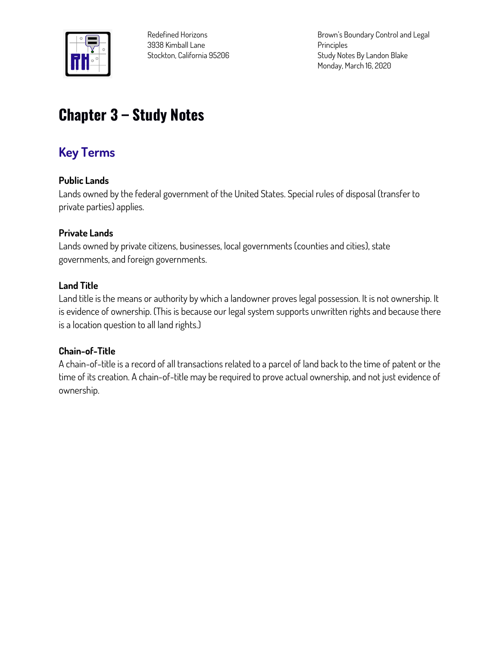

**Redefined Horizons 3938 Kimball Lane Stockton, California 95206** **Brown's Boundary Control and Legal Principles Study Notes By Landon Blake Monday, March 16, 2020**

# **Chapter 3 – Study Notes**

# **Key Terms**

## **Public Lands**

**Lands owned by the federal government of the United States. Special rules of disposal (transfer to private parties) applies.**

## **Private Lands**

**Lands owned by private citizens, businesses, local governments (counties and cities), state governments, and foreign governments.**

#### **Land Title**

**Land title is the means or authority by which a landowner proves legal possession. It is not ownership. It is evidence of ownership. (This is because our legal system supports unwritten rights and because there is a location question to all land rights.)**

#### **Chain-of-Title**

**A chain-of-title is a record of all transactions related to a parcel of land back to the time of patent or the time of its creation. A chain-of-title may be required to prove actual ownership, and not just evidence of ownership.**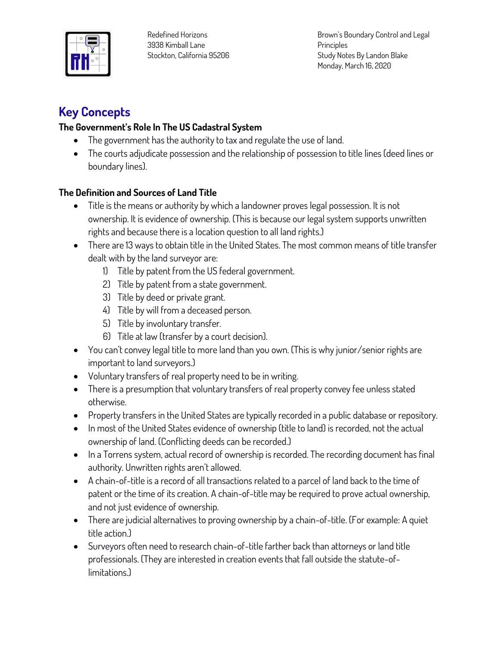

**Redefined Horizons 3938 Kimball Lane Stockton, California 95206** **Brown's Boundary Control and Legal Principles Study Notes By Landon Blake Monday, March 16, 2020**

# **Key Concepts**

# **The Government's Role In The US Cadastral System**

- **The government has the authority to tax and regulate the use of land.**
- **The courts adjudicate possession and the relationship of possession to title lines (deed lines or boundary lines).**

# **The Definition and Sources of Land Title**

- **Title is the means or authority by which a landowner proves legal possession. It is not ownership. It is evidence of ownership. (This is because our legal system supports unwritten rights and because there is a location question to all land rights.)**
- **There are 13 ways to obtain title in the United States. The most common means of title transfer dealt with by the land surveyor are:**
	- **1) Title by patent from the US federal government.**
	- **2) Title by patent from a state government.**
	- **3) Title by deed or private grant.**
	- **4) Title by will from a deceased person.**
	- **5) Title by involuntary transfer.**
	- **6) Title at law (transfer by a court decision).**
- **You can't convey legal title to more land than you own. (This is why junior/senior rights are important to land surveyors.)**
- **Voluntary transfers of real property need to be in writing.**
- **There is a presumption that voluntary transfers of real property convey fee unless stated otherwise.**
- **Property transfers in the United States are typically recorded in a public database or repository.**
- **In most of the United States evidence of ownership (title to land) is recorded, not the actual ownership of land. (Conflicting deeds can be recorded.)**
- **In a Torrens system, actual record of ownership is recorded. The recording document has final authority. Unwritten rights aren't allowed.**
- **A chain-of-title is a record of all transactions related to a parcel of land back to the time of patent or the time of its creation. A chain-of-title may be required to prove actual ownership, and not just evidence of ownership.**
- **There are judicial alternatives to proving ownership by a chain-of-title. (For example: A quiet title action.)**
- **Surveyors often need to research chain-of-title farther back than attorneys or land title professionals. (They are interested in creation events that fall outside the statute-oflimitations.)**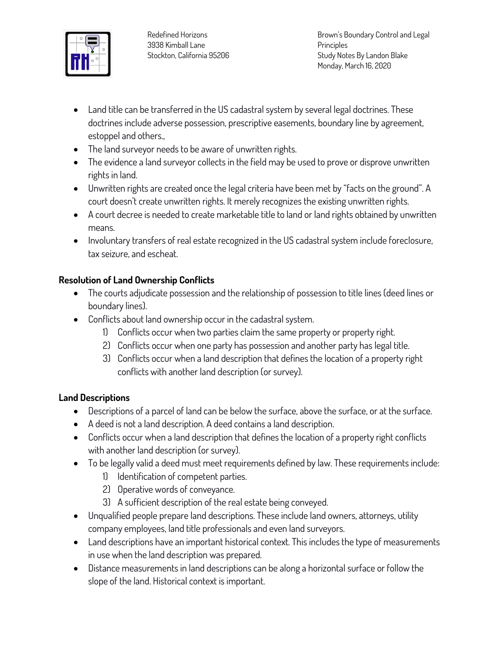

- **Land title can be transferred in the US cadastral system by several legal doctrines. These doctrines include adverse possession, prescriptive easements, boundary line by agreement, estoppel and others.,**
- **The land surveyor needs to be aware of unwritten rights.**
- **The evidence a land surveyor collects in the field may be used to prove or disprove unwritten rights in land.**
- **Unwritten rights are created once the legal criteria have been met by "facts on the ground". A court doesn't create unwritten rights. It merely recognizes the existing unwritten rights.**
- **A court decree is needed to create marketable title to land or land rights obtained by unwritten means.**
- **Involuntary transfers of real estate recognized in the US cadastral system include foreclosure, tax seizure, and escheat.**

# **Resolution of Land Ownership Conflicts**

- **The courts adjudicate possession and the relationship of possession to title lines (deed lines or boundary lines).**
- **Conflicts about land ownership occur in the cadastral system.** 
	- **1) Conflicts occur when two parties claim the same property or property right.**
	- **2) Conflicts occur when one party has possession and another party has legal title.**
	- **3) Conflicts occur when a land description that defines the location of a property right conflicts with another land description (or survey).**

## **Land Descriptions**

- **Descriptions of a parcel of land can be below the surface, above the surface, or at the surface.**
- **A deed is not a land description. A deed contains a land description.**
- **Conflicts occur when a land description that defines the location of a property right conflicts with another land description (or survey).**
- **To be legally valid a deed must meet requirements defined by law. These requirements include:**
	- **1) Identification of competent parties.**
	- **2) Operative words of conveyance.**
	- **3) A sufficient description of the real estate being conveyed.**
- **Unqualified people prepare land descriptions. These include land owners, attorneys, utility company employees, land title professionals and even land surveyors.**
- **Land descriptions have an important historical context. This includes the type of measurements in use when the land description was prepared.**
- **Distance measurements in land descriptions can be along a horizontal surface or follow the slope of the land. Historical context is important.**